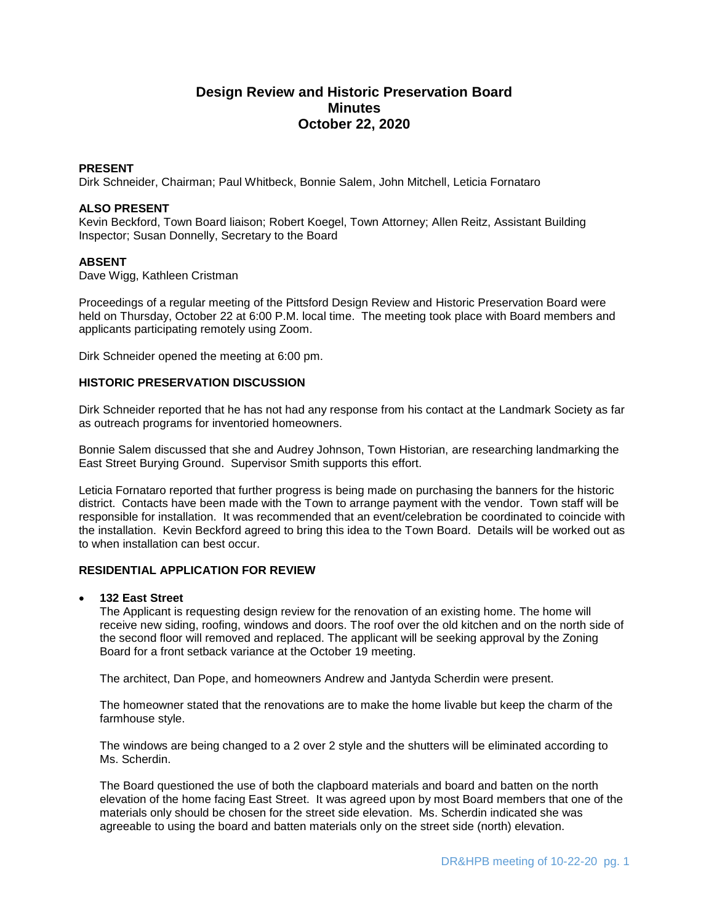# **Design Review and Historic Preservation Board Minutes October 22, 2020**

## **PRESENT**

Dirk Schneider, Chairman; Paul Whitbeck, Bonnie Salem, John Mitchell, Leticia Fornataro

#### **ALSO PRESENT**

Kevin Beckford, Town Board liaison; Robert Koegel, Town Attorney; Allen Reitz, Assistant Building Inspector; Susan Donnelly, Secretary to the Board

#### **ABSENT**

Dave Wigg, Kathleen Cristman

Proceedings of a regular meeting of the Pittsford Design Review and Historic Preservation Board were held on Thursday, October 22 at 6:00 P.M. local time. The meeting took place with Board members and applicants participating remotely using Zoom.

Dirk Schneider opened the meeting at 6:00 pm.

#### **HISTORIC PRESERVATION DISCUSSION**

Dirk Schneider reported that he has not had any response from his contact at the Landmark Society as far as outreach programs for inventoried homeowners.

Bonnie Salem discussed that she and Audrey Johnson, Town Historian, are researching landmarking the East Street Burying Ground. Supervisor Smith supports this effort.

Leticia Fornataro reported that further progress is being made on purchasing the banners for the historic district. Contacts have been made with the Town to arrange payment with the vendor. Town staff will be responsible for installation. It was recommended that an event/celebration be coordinated to coincide with the installation. Kevin Beckford agreed to bring this idea to the Town Board. Details will be worked out as to when installation can best occur.

## **RESIDENTIAL APPLICATION FOR REVIEW**

#### **132 East Street**

The Applicant is requesting design review for the renovation of an existing home. The home will receive new siding, roofing, windows and doors. The roof over the old kitchen and on the north side of the second floor will removed and replaced. The applicant will be seeking approval by the Zoning Board for a front setback variance at the October 19 meeting.

The architect, Dan Pope, and homeowners Andrew and Jantyda Scherdin were present.

The homeowner stated that the renovations are to make the home livable but keep the charm of the farmhouse style.

The windows are being changed to a 2 over 2 style and the shutters will be eliminated according to Ms. Scherdin.

The Board questioned the use of both the clapboard materials and board and batten on the north elevation of the home facing East Street. It was agreed upon by most Board members that one of the materials only should be chosen for the street side elevation. Ms. Scherdin indicated she was agreeable to using the board and batten materials only on the street side (north) elevation.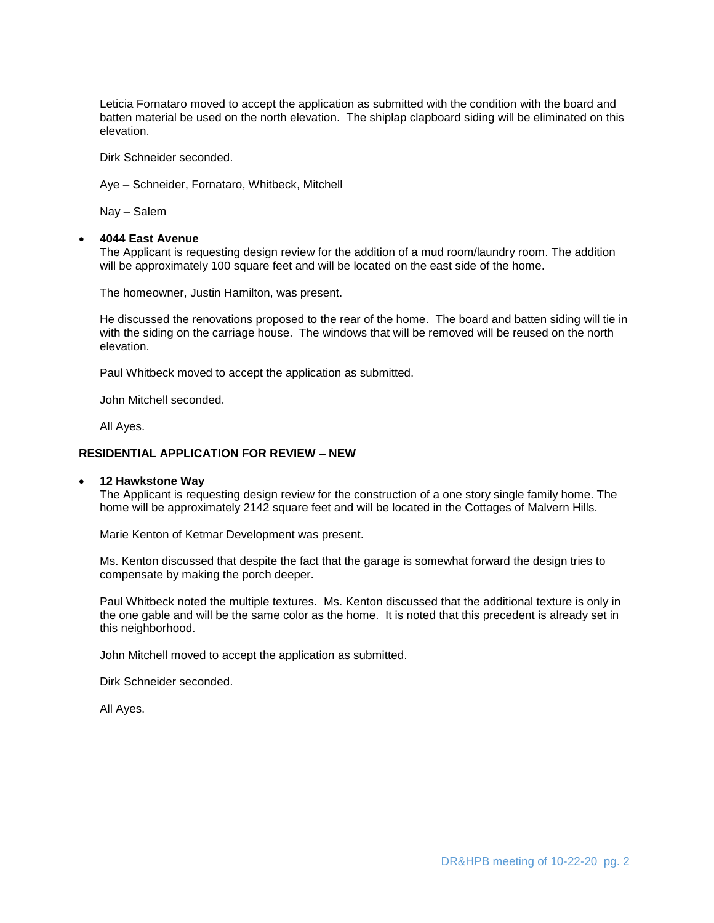Leticia Fornataro moved to accept the application as submitted with the condition with the board and batten material be used on the north elevation. The shiplap clapboard siding will be eliminated on this elevation.

Dirk Schneider seconded.

Aye – Schneider, Fornataro, Whitbeck, Mitchell

Nay – Salem

#### **4044 East Avenue**

The Applicant is requesting design review for the addition of a mud room/laundry room. The addition will be approximately 100 square feet and will be located on the east side of the home.

The homeowner, Justin Hamilton, was present.

He discussed the renovations proposed to the rear of the home. The board and batten siding will tie in with the siding on the carriage house. The windows that will be removed will be reused on the north elevation.

Paul Whitbeck moved to accept the application as submitted.

John Mitchell seconded.

All Ayes.

#### **RESIDENTIAL APPLICATION FOR REVIEW – NEW**

#### **12 Hawkstone Way**

The Applicant is requesting design review for the construction of a one story single family home. The home will be approximately 2142 square feet and will be located in the Cottages of Malvern Hills.

Marie Kenton of Ketmar Development was present.

Ms. Kenton discussed that despite the fact that the garage is somewhat forward the design tries to compensate by making the porch deeper.

Paul Whitbeck noted the multiple textures. Ms. Kenton discussed that the additional texture is only in the one gable and will be the same color as the home. It is noted that this precedent is already set in this neighborhood.

John Mitchell moved to accept the application as submitted.

Dirk Schneider seconded.

All Ayes.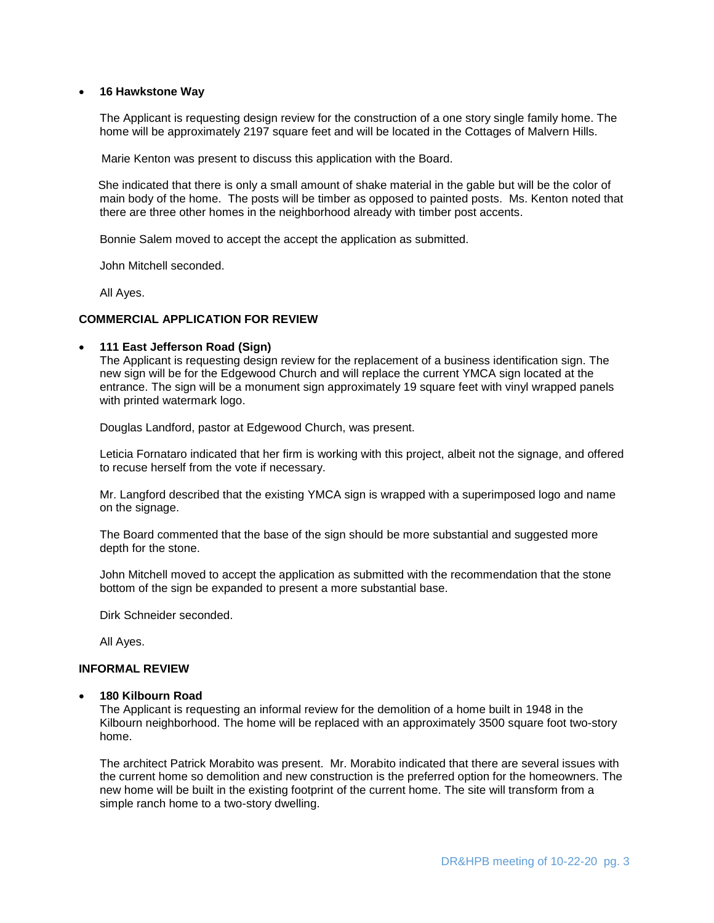#### **16 Hawkstone Way**

The Applicant is requesting design review for the construction of a one story single family home. The home will be approximately 2197 square feet and will be located in the Cottages of Malvern Hills.

Marie Kenton was present to discuss this application with the Board.

 She indicated that there is only a small amount of shake material in the gable but will be the color of main body of the home. The posts will be timber as opposed to painted posts. Ms. Kenton noted that there are three other homes in the neighborhood already with timber post accents.

Bonnie Salem moved to accept the accept the application as submitted.

John Mitchell seconded.

All Ayes.

#### **COMMERCIAL APPLICATION FOR REVIEW**

#### **111 East Jefferson Road (Sign)**

The Applicant is requesting design review for the replacement of a business identification sign. The new sign will be for the Edgewood Church and will replace the current YMCA sign located at the entrance. The sign will be a monument sign approximately 19 square feet with vinyl wrapped panels with printed watermark logo.

Douglas Landford, pastor at Edgewood Church, was present.

Leticia Fornataro indicated that her firm is working with this project, albeit not the signage, and offered to recuse herself from the vote if necessary.

Mr. Langford described that the existing YMCA sign is wrapped with a superimposed logo and name on the signage.

The Board commented that the base of the sign should be more substantial and suggested more depth for the stone.

John Mitchell moved to accept the application as submitted with the recommendation that the stone bottom of the sign be expanded to present a more substantial base.

Dirk Schneider seconded.

All Ayes.

## **INFORMAL REVIEW**

#### **180 Kilbourn Road**

The Applicant is requesting an informal review for the demolition of a home built in 1948 in the Kilbourn neighborhood. The home will be replaced with an approximately 3500 square foot two-story home.

The architect Patrick Morabito was present. Mr. Morabito indicated that there are several issues with the current home so demolition and new construction is the preferred option for the homeowners. The new home will be built in the existing footprint of the current home. The site will transform from a simple ranch home to a two-story dwelling.